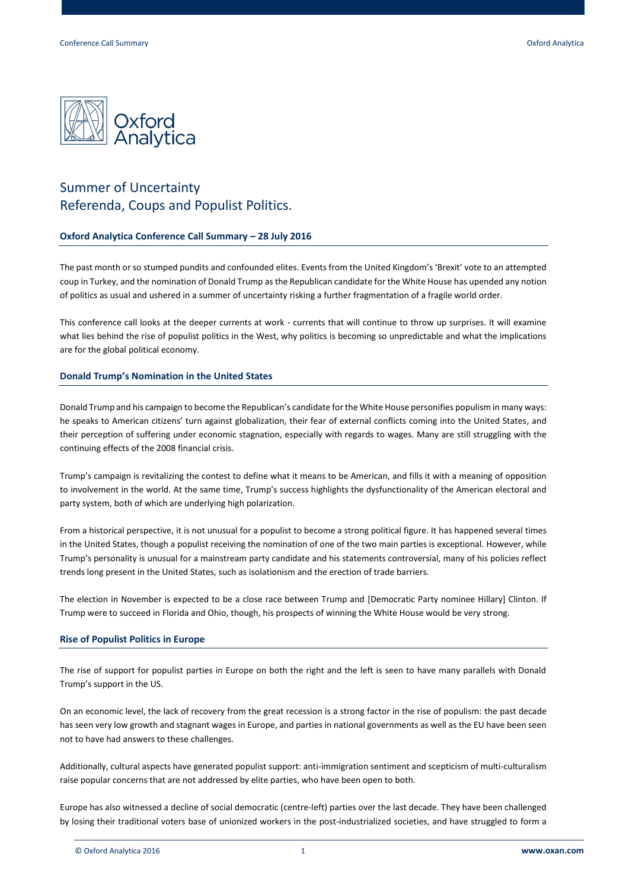

# Summer of Uncertainty Referenda, Coups and Populist Politics.

## **Oxford Analytica Conference Call Summary – 28 July 2016**

The past month or so stumped pundits and confounded elites. Events from the United Kingdom's 'Brexit' vote to an attempted coup in Turkey, and the nomination of Donald Trump as the Republican candidate for the White House has upended any notion of politics as usual and ushered in a summer of uncertainty risking a further fragmentation of a fragile world order.

This conference call looks at the deeper currents at work - currents that will continue to throw up surprises. It will examine what lies behind the rise of populist politics in the West, why politics is becoming so unpredictable and what the implications are for the global political economy.

## **Donald Trump's Nomination in the United States**

Donald Trump and his campaign to become the Republican's candidate for the White House personifies populism in many ways: he speaks to American citizens' turn against globalization, their fear of external conflicts coming into the United States, and their perception of suffering under economic stagnation, especially with regards to wages. Many are still struggling with the continuing effects of the 2008 financial crisis.

Trump's campaign is revitalizing the contest to define what it means to be American, and fills it with a meaning of opposition to involvement in the world. At the same time, Trump's success highlights the dysfunctionality of the American electoral and party system, both of which are underlying high polarization.

From a historical perspective, it is not unusual for a populist to become a strong political figure. It has happened several times in the United States, though a populist receiving the nomination of one of the two main parties is exceptional. However, while Trump's personality is unusual for a mainstream party candidate and his statements controversial, many of his policies reflect trends long present in the United States, such as isolationism and the erection of trade barriers.

The election in November is expected to be a close race between Trump and [Democratic Party nominee Hillary] Clinton. If Trump were to succeed in Florida and Ohio, though, his prospects of winning the White House would be very strong.

## **Rise of Populist Politics in Europe**

The rise of support for populist parties in Europe on both the right and the left is seen to have many parallels with Donald Trump's support in the US.

On an economic level, the lack of recovery from the great recession is a strong factor in the rise of populism: the past decade has seen very low growth and stagnant wages in Europe, and parties in national governments as well as the EU have been seen not to have had answers to these challenges.

Additionally, cultural aspects have generated populist support: anti-immigration sentiment and scepticism of multi-culturalism raise popular concerns that are not addressed by elite parties, who have been open to both.

Europe has also witnessed a decline of social democratic (centre-left) parties over the last decade. They have been challenged by losing their traditional voters base of unionized workers in the post-industrialized societies, and have struggled to form a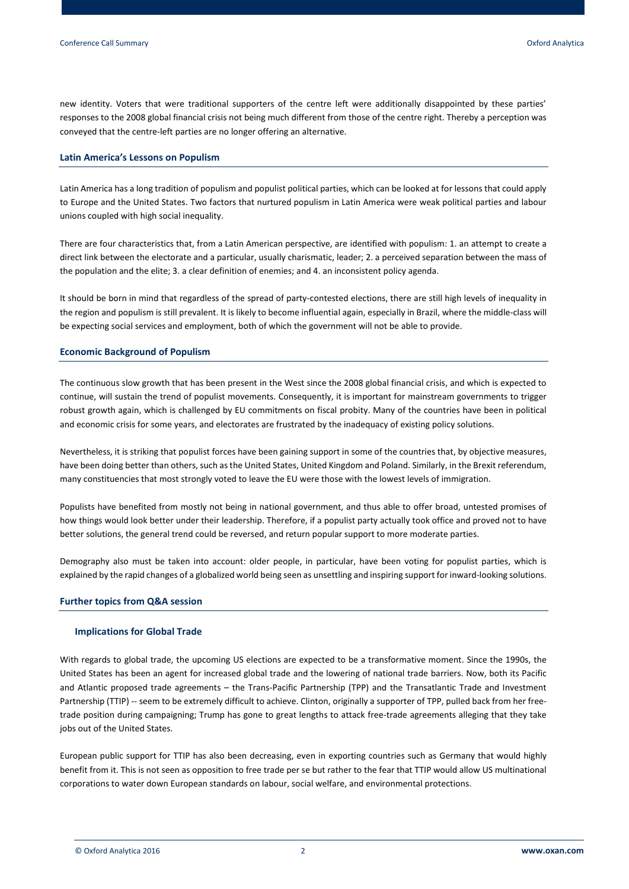new identity. Voters that were traditional supporters of the centre left were additionally disappointed by these parties' responses to the 2008 global financial crisis not being much different from those of the centre right. Thereby a perception was conveyed that the centre-left parties are no longer offering an alternative.

#### **Latin America's Lessons on Populism**

Latin America has a long tradition of populism and populist political parties, which can be looked at for lessons that could apply to Europe and the United States. Two factors that nurtured populism in Latin America were weak political parties and labour unions coupled with high social inequality.

There are four characteristics that, from a Latin American perspective, are identified with populism: 1. an attempt to create a direct link between the electorate and a particular, usually charismatic, leader; 2. a perceived separation between the mass of the population and the elite; 3. a clear definition of enemies; and 4. an inconsistent policy agenda.

It should be born in mind that regardless of the spread of party-contested elections, there are still high levels of inequality in the region and populism is still prevalent. It is likely to become influential again, especially in Brazil, where the middle-class will be expecting social services and employment, both of which the government will not be able to provide.

# **Economic Background of Populism**

The continuous slow growth that has been present in the West since the 2008 global financial crisis, and which is expected to continue, will sustain the trend of populist movements. Consequently, it is important for mainstream governments to trigger robust growth again, which is challenged by EU commitments on fiscal probity. Many of the countries have been in political and economic crisis for some years, and electorates are frustrated by the inadequacy of existing policy solutions.

Nevertheless, it is striking that populist forces have been gaining support in some of the countries that, by objective measures, have been doing better than others, such as the United States, United Kingdom and Poland. Similarly, in the Brexit referendum, many constituencies that most strongly voted to leave the EU were those with the lowest levels of immigration.

Populists have benefited from mostly not being in national government, and thus able to offer broad, untested promises of how things would look better under their leadership. Therefore, if a populist party actually took office and proved not to have better solutions, the general trend could be reversed, and return popular support to more moderate parties.

Demography also must be taken into account: older people, in particular, have been voting for populist parties, which is explained by the rapid changes of a globalized world being seen as unsettling and inspiring support for inward-looking solutions.

## **Further topics from Q&A session**

## **Implications for Global Trade**

With regards to global trade, the upcoming US elections are expected to be a transformative moment. Since the 1990s, the United States has been an agent for increased global trade and the lowering of national trade barriers. Now, both its Pacific and Atlantic proposed trade agreements – the Trans-Pacific Partnership (TPP) and the Transatlantic Trade and Investment Partnership (TTIP) -- seem to be extremely difficult to achieve. Clinton, originally a supporter of TPP, pulled back from her freetrade position during campaigning; Trump has gone to great lengths to attack free-trade agreements alleging that they take jobs out of the United States.

European public support for TTIP has also been decreasing, even in exporting countries such as Germany that would highly benefit from it. This is not seen as opposition to free trade per se but rather to the fear that TTIP would allow US multinational corporations to water down European standards on labour, social welfare, and environmental protections.